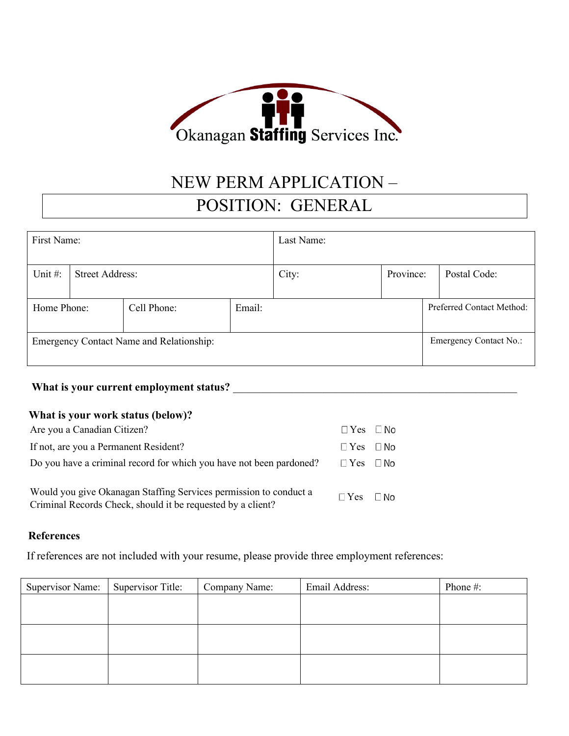

# NEW PERM APPLICATION – POSITION: GENERAL

| First Name:                                     |                        |             |        | Last Name: |           |                               |              |
|-------------------------------------------------|------------------------|-------------|--------|------------|-----------|-------------------------------|--------------|
| Unit $#$ :                                      | <b>Street Address:</b> |             |        | City:      | Province: |                               | Postal Code: |
| Home Phone:                                     |                        | Cell Phone: | Email: |            |           | Preferred Contact Method:     |              |
| <b>Emergency Contact Name and Relationship:</b> |                        |             |        |            |           | <b>Emergency Contact No.:</b> |              |

## What is your current employment status? **What is your current employment status?**

## **What is your work status (below)?**

| Are you a Canadian Citizen?                                                                                                      | $\Box$ Yes $\Box$ No |  |
|----------------------------------------------------------------------------------------------------------------------------------|----------------------|--|
| If not, are you a Permanent Resident?                                                                                            | $\Box$ Yes $\Box$ No |  |
| Do you have a criminal record for which you have not been pardoned?                                                              | $\Box$ Yes $\Box$ No |  |
| Would you give Okanagan Staffing Services permission to conduct a<br>Criminal Records Check, should it be requested by a client? | $\Box$ Yes $\Box$ No |  |

#### **References**

If references are not included with your resume, please provide three employment references:

| Supervisor Name: | Supervisor Title: | Company Name: | Email Address: | Phone #: |
|------------------|-------------------|---------------|----------------|----------|
|                  |                   |               |                |          |
|                  |                   |               |                |          |
|                  |                   |               |                |          |
|                  |                   |               |                |          |
|                  |                   |               |                |          |
|                  |                   |               |                |          |